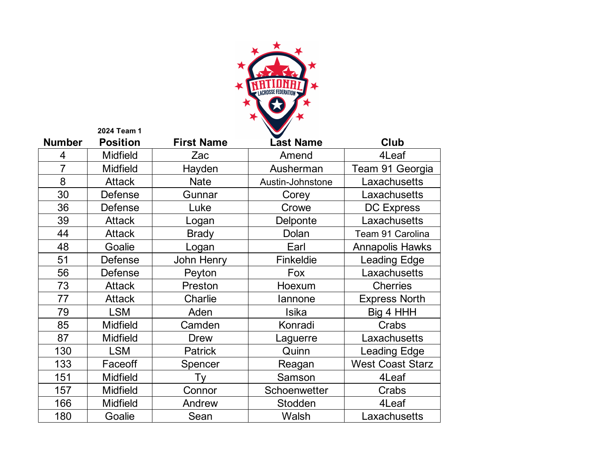

|                | 2024 Team 1     |                   |                  |                         |
|----------------|-----------------|-------------------|------------------|-------------------------|
| <b>Number</b>  | <b>Position</b> | <b>First Name</b> | <b>Last Name</b> | Club                    |
| 4              | <b>Midfield</b> | Zac               | Amend            | 4Leaf                   |
| $\overline{7}$ | <b>Midfield</b> | Hayden            | Ausherman        | Team 91 Georgia         |
| 8              | <b>Attack</b>   | <b>Nate</b>       | Austin-Johnstone | Laxachusetts            |
| 30             | Defense         | Gunnar            | Corey            | Laxachusetts            |
| 36             | Defense         | Luke              | Crowe            | <b>DC Express</b>       |
| 39             | <b>Attack</b>   | Logan             | Delponte         | Laxachusetts            |
| 44             | <b>Attack</b>   | <b>Brady</b>      | Dolan            | Team 91 Carolina        |
| 48             | Goalie          | Logan             | Earl             | <b>Annapolis Hawks</b>  |
| 51             | Defense         | John Henry        | Finkeldie        | <b>Leading Edge</b>     |
| 56             | Defense         | Peyton            | Fox              | Laxachusetts            |
| 73             | <b>Attack</b>   | Preston           | Hoexum           | <b>Cherries</b>         |
| 77             | <b>Attack</b>   | Charlie           | lannone          | <b>Express North</b>    |
| 79             | <b>LSM</b>      | Aden              | Isika            | Big 4 HHH               |
| 85             | <b>Midfield</b> | Camden            | Konradi          | Crabs                   |
| 87             | <b>Midfield</b> | <b>Drew</b>       | Laguerre         | Laxachusetts            |
| 130            | <b>LSM</b>      | <b>Patrick</b>    | Quinn            | <b>Leading Edge</b>     |
| 133            | Faceoff         | Spencer           | Reagan           | <b>West Coast Starz</b> |
| 151            | <b>Midfield</b> | Ty                | Samson           | 4Leaf                   |
| 157            | <b>Midfield</b> | Connor            | Schoenwetter     | Crabs                   |
| 166            | <b>Midfield</b> | Andrew            | Stodden          | 4Leaf                   |
| 180            | Goalie          | Sean              | Walsh            | Laxachusetts            |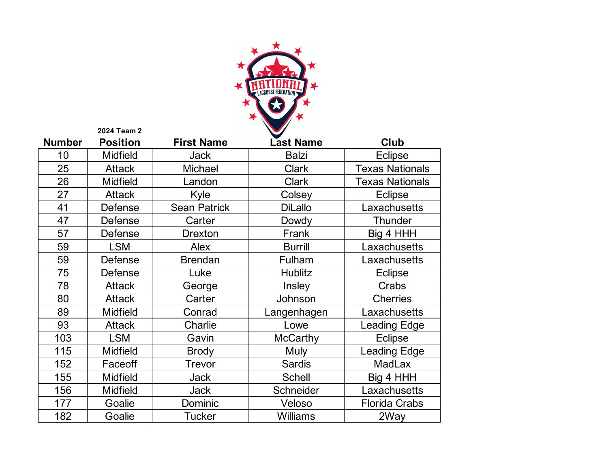

|               | 2024 Team 2     |                     |                  |                        |
|---------------|-----------------|---------------------|------------------|------------------------|
| <b>Number</b> | <b>Position</b> | <b>First Name</b>   | <b>Last Name</b> | Club                   |
| 10            | <b>Midfield</b> | <b>Jack</b>         | <b>Balzi</b>     | <b>Eclipse</b>         |
| 25            | <b>Attack</b>   | Michael             | <b>Clark</b>     | <b>Texas Nationals</b> |
| 26            | <b>Midfield</b> | Landon              | <b>Clark</b>     | <b>Texas Nationals</b> |
| 27            | <b>Attack</b>   | Kyle                | Colsey           | <b>Eclipse</b>         |
| 41            | Defense         | <b>Sean Patrick</b> | <b>DiLallo</b>   | Laxachusetts           |
| 47            | Defense         | Carter              | Dowdy            | <b>Thunder</b>         |
| 57            | Defense         | Drexton             | Frank            | Big 4 HHH              |
| 59            | <b>LSM</b>      | Alex                | <b>Burrill</b>   | Laxachusetts           |
| 59            | Defense         | <b>Brendan</b>      | Fulham           | Laxachusetts           |
| 75            | Defense         | Luke                | <b>Hublitz</b>   | <b>Eclipse</b>         |
| 78            | <b>Attack</b>   | George              | Insley           | Crabs                  |
| 80            | <b>Attack</b>   | Carter              | Johnson          | <b>Cherries</b>        |
| 89            | <b>Midfield</b> | Conrad              | Langenhagen      | Laxachusetts           |
| 93            | <b>Attack</b>   | Charlie             | Lowe             | Leading Edge           |
| 103           | <b>LSM</b>      | Gavin               | <b>McCarthy</b>  | <b>Eclipse</b>         |
| 115           | <b>Midfield</b> | <b>Brody</b>        | Muly             | Leading Edge           |
| 152           | Faceoff         | <b>Trevor</b>       | <b>Sardis</b>    | <b>MadLax</b>          |
| 155           | <b>Midfield</b> | <b>Jack</b>         | <b>Schell</b>    | Big 4 HHH              |
| 156           | <b>Midfield</b> | <b>Jack</b>         | Schneider        | Laxachusetts           |
| 177           | Goalie          | Dominic             | Veloso           | <b>Florida Crabs</b>   |
| 182           | Goalie          | <b>Tucker</b>       | <b>Williams</b>  | 2Way                   |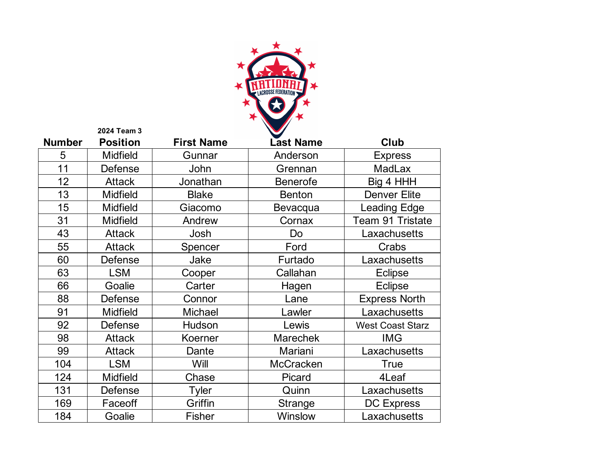

|               | 2024 Team 3     |                   |                  |                         |
|---------------|-----------------|-------------------|------------------|-------------------------|
| <b>Number</b> | <b>Position</b> | <b>First Name</b> | <b>Last Name</b> | <b>Club</b>             |
| 5             | <b>Midfield</b> | Gunnar            | Anderson         | <b>Express</b>          |
| 11            | Defense         | John              | Grennan          | <b>MadLax</b>           |
| 12            | <b>Attack</b>   | Jonathan          | <b>Benerofe</b>  | Big 4 HHH               |
| 13            | <b>Midfield</b> | <b>Blake</b>      | <b>Benton</b>    | <b>Denver Elite</b>     |
| 15            | <b>Midfield</b> | Giacomo           | Bevacqua         | <b>Leading Edge</b>     |
| 31            | <b>Midfield</b> | Andrew            | Cornax           | Team 91 Tristate        |
| 43            | <b>Attack</b>   | Josh              | Do               | Laxachusetts            |
| 55            | <b>Attack</b>   | Spencer           | Ford             | Crabs                   |
| 60            | Defense         | Jake              | Furtado          | Laxachusetts            |
| 63            | <b>LSM</b>      | Cooper            | Callahan         | <b>Eclipse</b>          |
| 66            | Goalie          | Carter            | Hagen            | Eclipse                 |
| 88            | Defense         | Connor            | Lane             | <b>Express North</b>    |
| 91            | <b>Midfield</b> | <b>Michael</b>    | Lawler           | Laxachusetts            |
| 92            | Defense         | Hudson            | Lewis            | <b>West Coast Starz</b> |
| 98            | <b>Attack</b>   | Koerner           | <b>Marechek</b>  | <b>IMG</b>              |
| 99            | <b>Attack</b>   | Dante             | Mariani          | Laxachusetts            |
| 104           | <b>LSM</b>      | Will              | <b>McCracken</b> | <b>True</b>             |
| 124           | <b>Midfield</b> | Chase             | Picard           | 4Leaf                   |
| 131           | Defense         | Tyler             | Quinn            | Laxachusetts            |
| 169           | Faceoff         | Griffin           | Strange          | <b>DC Express</b>       |
| 184           | Goalie          | <b>Fisher</b>     | Winslow          | Laxachusetts            |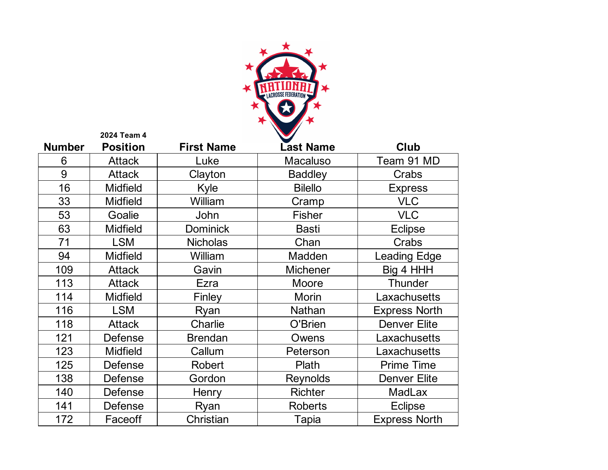

|               | 2024 Team 4     |                   |                  |                      |
|---------------|-----------------|-------------------|------------------|----------------------|
| <b>Number</b> | <b>Position</b> | <b>First Name</b> | <b>Last Name</b> | <b>Club</b>          |
| 6             | <b>Attack</b>   | Luke              | <b>Macaluso</b>  | Team 91 MD           |
| 9             | <b>Attack</b>   | Clayton           | <b>Baddley</b>   | Crabs                |
| 16            | <b>Midfield</b> | Kyle              | <b>Bilello</b>   | <b>Express</b>       |
| 33            | <b>Midfield</b> | William           | Cramp            | <b>VLC</b>           |
| 53            | Goalie          | John              | <b>Fisher</b>    | <b>VLC</b>           |
| 63            | <b>Midfield</b> | <b>Dominick</b>   | <b>Basti</b>     | <b>Eclipse</b>       |
| 71            | <b>LSM</b>      | <b>Nicholas</b>   | Chan             | Crabs                |
| 94            | <b>Midfield</b> | William           | Madden           | <b>Leading Edge</b>  |
| 109           | <b>Attack</b>   | Gavin             | <b>Michener</b>  | Big 4 HHH            |
| 113           | <b>Attack</b>   | Ezra              | Moore            | <b>Thunder</b>       |
| 114           | <b>Midfield</b> | Finley            | <b>Morin</b>     | Laxachusetts         |
| 116           | <b>LSM</b>      | Ryan              | <b>Nathan</b>    | <b>Express North</b> |
| 118           | <b>Attack</b>   | Charlie           | O'Brien          | <b>Denver Elite</b>  |
| 121           | Defense         | <b>Brendan</b>    | Owens            | Laxachusetts         |
| 123           | <b>Midfield</b> | Callum            | Peterson         | Laxachusetts         |
| 125           | Defense         | <b>Robert</b>     | Plath            | <b>Prime Time</b>    |
| 138           | Defense         | Gordon            | <b>Reynolds</b>  | <b>Denver Elite</b>  |
| 140           | Defense         | Henry             | <b>Richter</b>   | <b>MadLax</b>        |
| 141           | Defense         | Ryan              | <b>Roberts</b>   | <b>Eclipse</b>       |
| 172           | Faceoff         | Christian         | Tapia            | <b>Express North</b> |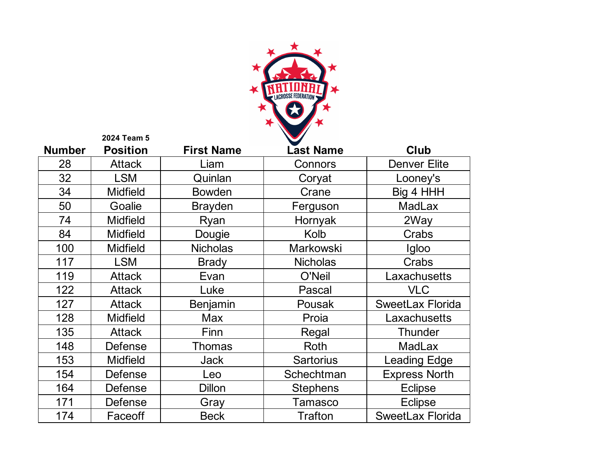

|               | 2024 Team 5     |                   |                  |                         |
|---------------|-----------------|-------------------|------------------|-------------------------|
| <b>Number</b> | <b>Position</b> | <b>First Name</b> | <b>Last Name</b> | <b>Club</b>             |
| 28            | <b>Attack</b>   | Liam              | Connors          | <b>Denver Elite</b>     |
| 32            | <b>LSM</b>      | Quinlan           | Coryat           | Looney's                |
| 34            | <b>Midfield</b> | <b>Bowden</b>     | Crane            | Big 4 HHH               |
| 50            | Goalie          | <b>Brayden</b>    | Ferguson         | <b>MadLax</b>           |
| 74            | <b>Midfield</b> | Ryan              | Hornyak          | 2Way                    |
| 84            | <b>Midfield</b> | Dougie            | Kolb             | Crabs                   |
| 100           | <b>Midfield</b> | <b>Nicholas</b>   | <b>Markowski</b> | Igloo                   |
| 117           | <b>LSM</b>      | <b>Brady</b>      | <b>Nicholas</b>  | Crabs                   |
| 119           | <b>Attack</b>   | Evan              | O'Neil           | Laxachusetts            |
| 122           | <b>Attack</b>   | Luke              | Pascal           | <b>VLC</b>              |
| 127           | <b>Attack</b>   | Benjamin          | Pousak           | <b>SweetLax Florida</b> |
| 128           | <b>Midfield</b> | Max               | Proia            | Laxachusetts            |
| 135           | <b>Attack</b>   | Finn              | Regal            | <b>Thunder</b>          |
| 148           | <b>Defense</b>  | <b>Thomas</b>     | Roth             | <b>MadLax</b>           |
| 153           | <b>Midfield</b> | Jack              | <b>Sartorius</b> | <b>Leading Edge</b>     |
| 154           | <b>Defense</b>  | Leo               | Schechtman       | <b>Express North</b>    |
| 164           | Defense         | <b>Dillon</b>     | <b>Stephens</b>  | <b>Eclipse</b>          |
| 171           | Defense         | Gray              | <b>Tamasco</b>   | <b>Eclipse</b>          |
| 174           | Faceoff         | <b>Beck</b>       | <b>Trafton</b>   | <b>SweetLax Florida</b> |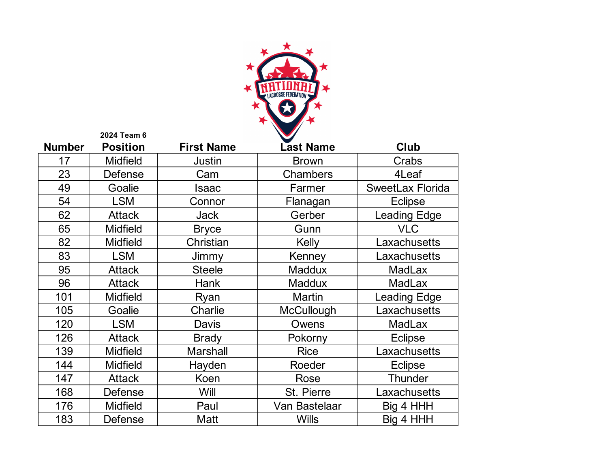

|               | 2024 Team 6     |                   |                   |                         |
|---------------|-----------------|-------------------|-------------------|-------------------------|
| <b>Number</b> | <b>Position</b> | <b>First Name</b> | <b>Last Name</b>  | Club                    |
| 17            | <b>Midfield</b> | Justin            | <b>Brown</b>      | Crabs                   |
| 23            | Defense         | Cam               | <b>Chambers</b>   | 4Leaf                   |
| 49            | Goalie          | Isaac             | Farmer            | <b>SweetLax Florida</b> |
| 54            | <b>LSM</b>      | Connor            | Flanagan          | <b>Eclipse</b>          |
| 62            | <b>Attack</b>   | <b>Jack</b>       | Gerber            | <b>Leading Edge</b>     |
| 65            | <b>Midfield</b> | <b>Bryce</b>      | Gunn              | <b>VLC</b>              |
| 82            | <b>Midfield</b> | Christian         | Kelly             | Laxachusetts            |
| 83            | <b>LSM</b>      | Jimmy             | Kenney            | Laxachusetts            |
| 95            | <b>Attack</b>   | <b>Steele</b>     | Maddux            | <b>MadLax</b>           |
| 96            | <b>Attack</b>   | <b>Hank</b>       | <b>Maddux</b>     | <b>MadLax</b>           |
| 101           | <b>Midfield</b> | Ryan              | <b>Martin</b>     | <b>Leading Edge</b>     |
| 105           | Goalie          | Charlie           | <b>McCullough</b> | Laxachusetts            |
| 120           | <b>LSM</b>      | <b>Davis</b>      | Owens             | <b>MadLax</b>           |
| 126           | <b>Attack</b>   | <b>Brady</b>      | Pokorny           | <b>Eclipse</b>          |
| 139           | <b>Midfield</b> | <b>Marshall</b>   | <b>Rice</b>       | Laxachusetts            |
| 144           | <b>Midfield</b> | Hayden            | Roeder            | <b>Eclipse</b>          |
| 147           | <b>Attack</b>   | Koen              | Rose              | <b>Thunder</b>          |
| 168           | Defense         | Will              | St. Pierre        | Laxachusetts            |
| 176           | <b>Midfield</b> | Paul              | Van Bastelaar     | Big 4 HHH               |
| 183           | Defense         | Matt              | <b>Wills</b>      | Big 4 HHH               |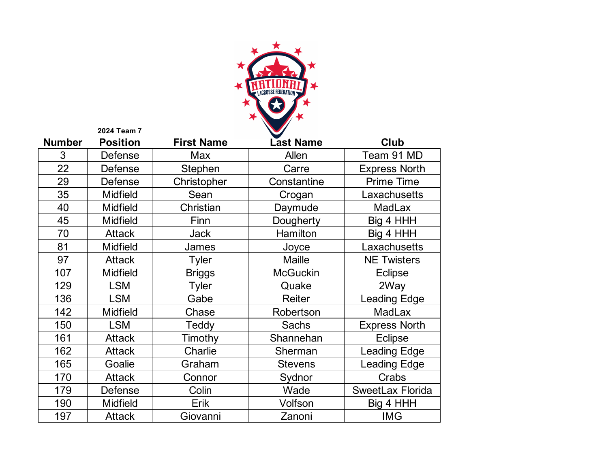

|               | 2024 Team 7     |                   |                  |                         |
|---------------|-----------------|-------------------|------------------|-------------------------|
| <b>Number</b> | <b>Position</b> | <b>First Name</b> | <b>Last Name</b> | Club                    |
| 3             | Defense         | Max               | Allen            | Team 91 MD              |
| 22            | Defense         | Stephen           | Carre            | <b>Express North</b>    |
| 29            | <b>Defense</b>  | Christopher       | Constantine      | <b>Prime Time</b>       |
| 35            | <b>Midfield</b> | Sean              | Crogan           | Laxachusetts            |
| 40            | <b>Midfield</b> | Christian         | Daymude          | <b>MadLax</b>           |
| 45            | <b>Midfield</b> | Finn              | Dougherty        | Big 4 HHH               |
| 70            | <b>Attack</b>   | <b>Jack</b>       | Hamilton         | Big 4 HHH               |
| 81            | <b>Midfield</b> | James             | Joyce            | Laxachusetts            |
| 97            | <b>Attack</b>   | <b>Tyler</b>      | <b>Maille</b>    | <b>NE Twisters</b>      |
| 107           | <b>Midfield</b> | <b>Briggs</b>     | <b>McGuckin</b>  | <b>Eclipse</b>          |
| 129           | <b>LSM</b>      | <b>Tyler</b>      | Quake            | 2Way                    |
| 136           | <b>LSM</b>      | Gabe              | Reiter           | <b>Leading Edge</b>     |
| 142           | <b>Midfield</b> | Chase             | Robertson        | <b>MadLax</b>           |
| 150           | <b>LSM</b>      | Teddy             | <b>Sachs</b>     | <b>Express North</b>    |
| 161           | <b>Attack</b>   | Timothy           | Shannehan        | <b>Eclipse</b>          |
| 162           | <b>Attack</b>   | <b>Charlie</b>    | Sherman          | <b>Leading Edge</b>     |
| 165           | Goalie          | Graham            | <b>Stevens</b>   | <b>Leading Edge</b>     |
| 170           | <b>Attack</b>   | Connor            | Sydnor           | Crabs                   |
| 179           | Defense         | Colin             | Wade             | <b>SweetLax Florida</b> |
| 190           | <b>Midfield</b> | Erik              | Volfson          | Big 4 HHH               |
| 197           | <b>Attack</b>   | Giovanni          | Zanoni           | <b>IMG</b>              |